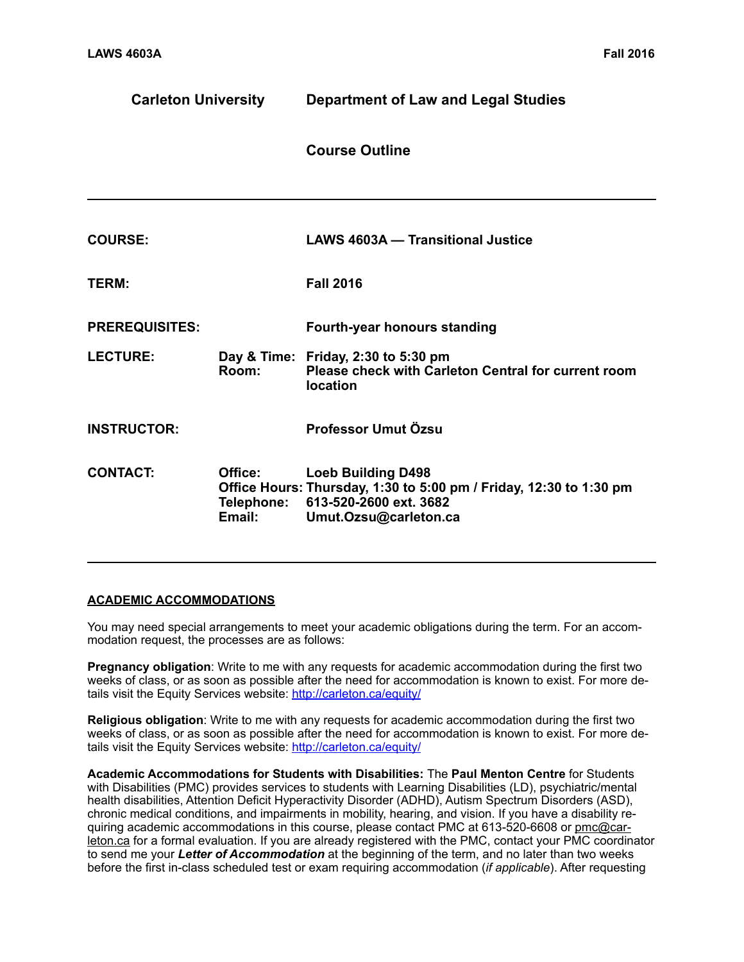| <b>Carleton University</b> |                                 | <b>Department of Law and Legal Studies</b>                                                                                                         |
|----------------------------|---------------------------------|----------------------------------------------------------------------------------------------------------------------------------------------------|
|                            |                                 | <b>Course Outline</b>                                                                                                                              |
| <b>COURSE:</b>             |                                 | <b>LAWS 4603A - Transitional Justice</b>                                                                                                           |
| TERM:                      |                                 | <b>Fall 2016</b>                                                                                                                                   |
| <b>PREREQUISITES:</b>      |                                 | Fourth-year honours standing                                                                                                                       |
| <b>LECTURE:</b>            | Room:                           | Day & Time: Friday, 2:30 to 5:30 pm<br><b>Please check with Carleton Central for current room</b><br>location                                      |
| <b>INSTRUCTOR:</b>         |                                 | Professor Umut Özsu                                                                                                                                |
| <b>CONTACT:</b>            | Office:<br>Telephone:<br>Email: | <b>Loeb Building D498</b><br>Office Hours: Thursday, 1:30 to 5:00 pm / Friday, 12:30 to 1:30 pm<br>613-520-2600 ext. 3682<br>Umut.Ozsu@carleton.ca |

# **ACADEMIC ACCOMMODATIONS**

You may need special arrangements to meet your academic obligations during the term. For an accommodation request, the processes are as follows:

**Pregnancy obligation**: Write to me with any requests for academic accommodation during the first two weeks of class, or as soon as possible after the need for accommodation is known to exist. For more details visit the Equity Services website:<http://carleton.ca/equity/>

**Religious obligation**: Write to me with any requests for academic accommodation during the first two weeks of class, or as soon as possible after the need for accommodation is known to exist. For more details visit the Equity Services website: http://carleton.ca/equity/

**Academic Accommodations for Students with Disabilities:** The **Paul Menton Centre** for Students with Disabilities (PMC) provides services to students with Learning Disabilities (LD), psychiatric/mental health disabilities, Attention Deficit Hyperactivity Disorder (ADHD), Autism Spectrum Disorders (ASD), chronic medical conditions, and impairments in mobility, hearing, and vision. If you have a disability re[quiring academic accommodations in this course, please contact PMC at 613-520-6608 or pmc@car](mailto:pmc@carleton.ca)leton.ca for a formal evaluation. If you are already registered with the PMC, contact your PMC coordinator to send me your *Letter of Accommodation* at the beginning of the term, and no later than two weeks before the first in-class scheduled test or exam requiring accommodation (*if applicable*). After requesting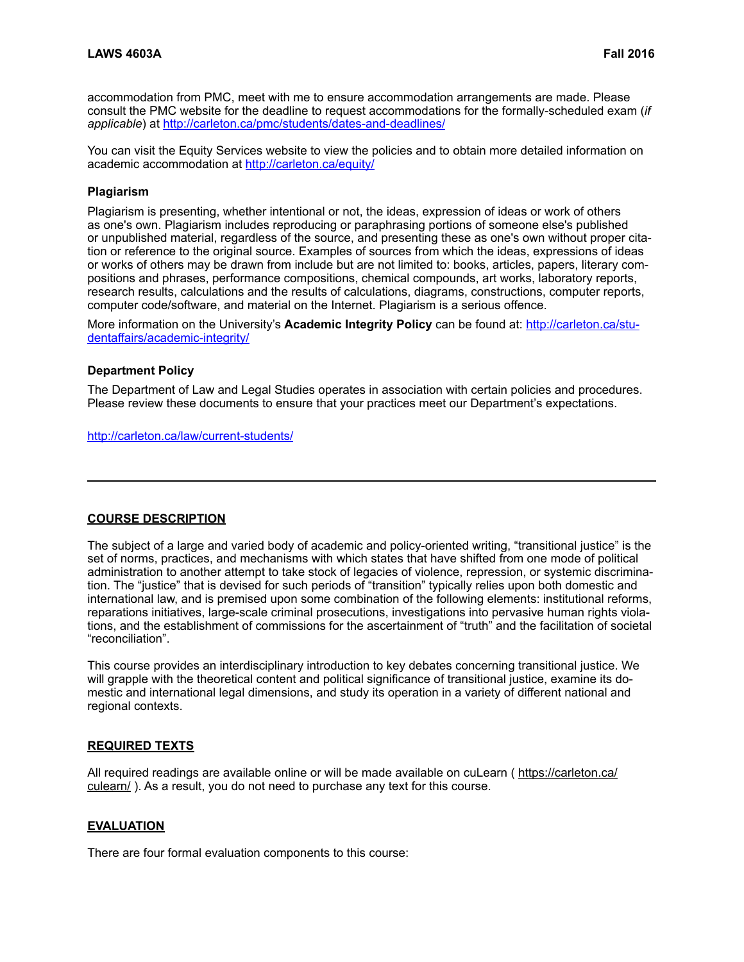accommodation from PMC, meet with me to ensure accommodation arrangements are made. Please consult the PMC website for the deadline to request accommodations for the formally-scheduled exam (*if applicable*) at<http://carleton.ca/pmc/students/dates-and-deadlines/>

You can visit the Equity Services website to view the policies and to obtain more detailed information on academic accommodation at<http://carleton.ca/equity/>

### **Plagiarism**

Plagiarism is presenting, whether intentional or not, the ideas, expression of ideas or work of others as one's own. Plagiarism includes reproducing or paraphrasing portions of someone else's published or unpublished material, regardless of the source, and presenting these as one's own without proper citation or reference to the original source. Examples of sources from which the ideas, expressions of ideas or works of others may be drawn from include but are not limited to: books, articles, papers, literary compositions and phrases, performance compositions, chemical compounds, art works, laboratory reports, research results, calculations and the results of calculations, diagrams, constructions, computer reports, computer code/software, and material on the Internet. Plagiarism is a serious offence.

More information on the University's **Academic Integrity Policy** [can be found at: http://carleton.ca/stu](http://carleton.ca/studentaffairs/academic-integrity/)dentaffairs/academic-integrity/

## **Department Policy**

The Department of Law and Legal Studies operates in association with certain policies and procedures. Please review these documents to ensure that your practices meet our Department's expectations.

#### <http://carleton.ca/law/current-students/>

#### **COURSE DESCRIPTION**

The subject of a large and varied body of academic and policy-oriented writing, "transitional justice" is the set of norms, practices, and mechanisms with which states that have shifted from one mode of political administration to another attempt to take stock of legacies of violence, repression, or systemic discrimination. The "justice" that is devised for such periods of "transition" typically relies upon both domestic and international law, and is premised upon some combination of the following elements: institutional reforms, reparations initiatives, large-scale criminal prosecutions, investigations into pervasive human rights violations, and the establishment of commissions for the ascertainment of "truth" and the facilitation of societal "reconciliation".

This course provides an interdisciplinary introduction to key debates concerning transitional justice. We will grapple with the theoretical content and political significance of transitional justice, examine its domestic and international legal dimensions, and study its operation in a variety of different national and regional contexts.

#### **REQUIRED TEXTS**

[All required readings are available online or will be made available on cuLearn \( https://carleton.ca/](https://carleton.ca/culearn/) culearn/ ). As a result, you do not need to purchase any text for this course.

### **EVALUATION**

There are four formal evaluation components to this course: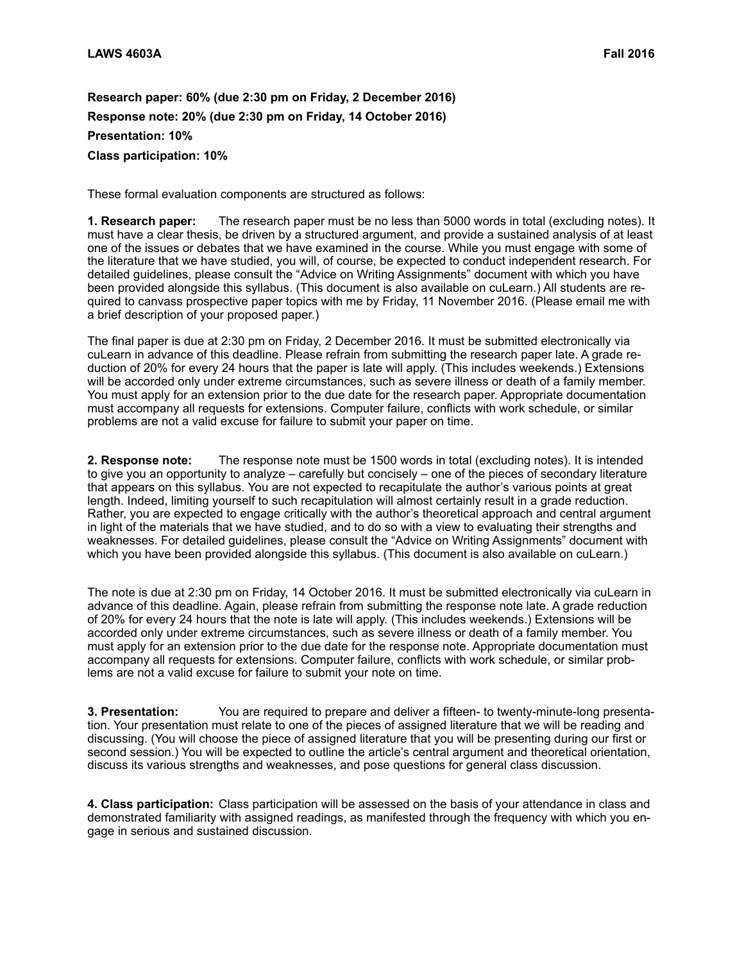**Research paper: 60% (due 2:30 pm on Friday, 2 December 2016) Response note: 20% (due 2:30 pm on Friday, 14 October 2016) Presentation: 10% Class participation: 10%**

These formal evaluation components are structured as follows:

**1. Research paper:** The research paper must be no less than 5000 words in total (excluding notes). It must have a clear thesis, be driven by a structured argument, and provide a sustained analysis of at least one of the issues or debates that we have examined in the course. While you must engage with some of the literature that we have studied, you will, of course, be expected to conduct independent research. For detailed guidelines, please consult the "Advice on Writing Assignments" document with which you have been provided alongside this syllabus. (This document is also available on cuLearn.) All students are required to canvass prospective paper topics with me by Friday, 11 November 2016. (Please email me with a brief description of your proposed paper.)

The final paper is due at 2:30 pm on Friday, 2 December 2016. It must be submitted electronically via cuLearn in advance of this deadline. Please refrain from submitting the research paper late. A grade reduction of 20% for every 24 hours that the paper is late will apply. (This includes weekends.) Extensions will be accorded only under extreme circumstances, such as severe illness or death of a family member. You must apply for an extension prior to the due date for the research paper. Appropriate documentation must accompany all requests for extensions. Computer failure, conflicts with work schedule, or similar problems are not a valid excuse for failure to submit your paper on time.

**2. Response note:** The response note must be 1500 words in total (excluding notes). It is intended to give you an opportunity to analyze – carefully but concisely – one of the pieces of secondary literature that appears on this syllabus. You are not expected to recapitulate the author's various points at great length. Indeed, limiting yourself to such recapitulation will almost certainly result in a grade reduction. Rather, you are expected to engage critically with the author's theoretical approach and central argument in light of the materials that we have studied, and to do so with a view to evaluating their strengths and weaknesses. For detailed guidelines, please consult the "Advice on Writing Assignments" document with which you have been provided alongside this syllabus. (This document is also available on cuLearn.)

The note is due at 2:30 pm on Friday, 14 October 2016. It must be submitted electronically via cuLearn in advance of this deadline. Again, please refrain from submitting the response note late. A grade reduction of 20% for every 24 hours that the note is late will apply. (This includes weekends.) Extensions will be accorded only under extreme circumstances, such as severe illness or death of a family member. You must apply for an extension prior to the due date for the response note. Appropriate documentation must accompany all requests for extensions. Computer failure, conflicts with work schedule, or similar problems are not a valid excuse for failure to submit your note on time.

**3. Presentation:** You are required to prepare and deliver a fifteen- to twenty-minute-long presentation. Your presentation must relate to one of the pieces of assigned literature that we will be reading and discussing. (You will choose the piece of assigned literature that you will be presenting during our first or second session.) You will be expected to outline the article's central argument and theoretical orientation, discuss its various strengths and weaknesses, and pose questions for general class discussion.

**4. Class participation:** Class participation will be assessed on the basis of your attendance in class and demonstrated familiarity with assigned readings, as manifested through the frequency with which you engage in serious and sustained discussion.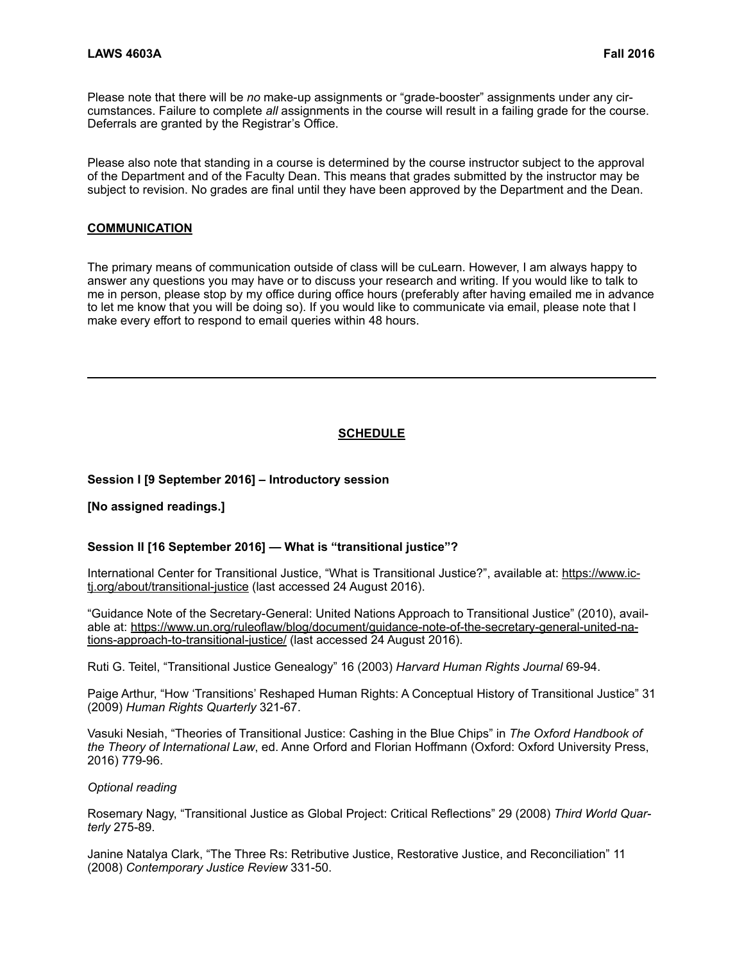Please note that there will be *no* make-up assignments or "grade-booster" assignments under any circumstances. Failure to complete *all* assignments in the course will result in a failing grade for the course. Deferrals are granted by the Registrar's Office.

Please also note that standing in a course is determined by the course instructor subject to the approval of the Department and of the Faculty Dean. This means that grades submitted by the instructor may be subject to revision. No grades are final until they have been approved by the Department and the Dean.

## **COMMUNICATION**

The primary means of communication outside of class will be cuLearn. However, I am always happy to answer any questions you may have or to discuss your research and writing. If you would like to talk to me in person, please stop by my office during office hours (preferably after having emailed me in advance to let me know that you will be doing so). If you would like to communicate via email, please note that I make every effort to respond to email queries within 48 hours.

# **SCHEDULE**

### **Session I [9 September 2016] – Introductory session**

**[No assigned readings.]**

#### **Session II [16 September 2016] — What is "transitional justice"?**

[International Center for Transitional Justice, "What is Transitional Justice?", available at: https://www.ic](https://www.ictj.org/about/transitional-justice)tj.org/about/transitional-justice (last accessed 24 August 2016).

"Guidance Note of the Secretary-General: United Nations Approach to Transitional Justice" (2010), avail[able at: https://www.un.org/ruleoflaw/blog/document/guidance-note-of-the-secretary-general-united-na](https://www.un.org/ruleoflaw/blog/document/guidance-note-of-the-secretary-general-united-nations-approach-to-transitional-justice/)tions-approach-to-transitional-justice/ (last accessed 24 August 2016).

Ruti G. Teitel, "Transitional Justice Genealogy" 16 (2003) *Harvard Human Rights Journal* 69-94.

Paige Arthur, "How 'Transitions' Reshaped Human Rights: A Conceptual History of Transitional Justice" 31 (2009) *Human Rights Quarterly* 321-67.

Vasuki Nesiah, "Theories of Transitional Justice: Cashing in the Blue Chips" in *The Oxford Handbook of the Theory of International Law*, ed. Anne Orford and Florian Hoffmann (Oxford: Oxford University Press, 2016) 779-96.

### *Optional reading*

Rosemary Nagy, "Transitional Justice as Global Project: Critical Reflections" 29 (2008) *Third World Quarterly* 275-89.

Janine Natalya Clark, "The Three Rs: Retributive Justice, Restorative Justice, and Reconciliation" 11 (2008) *Contemporary Justice Review* 331-50.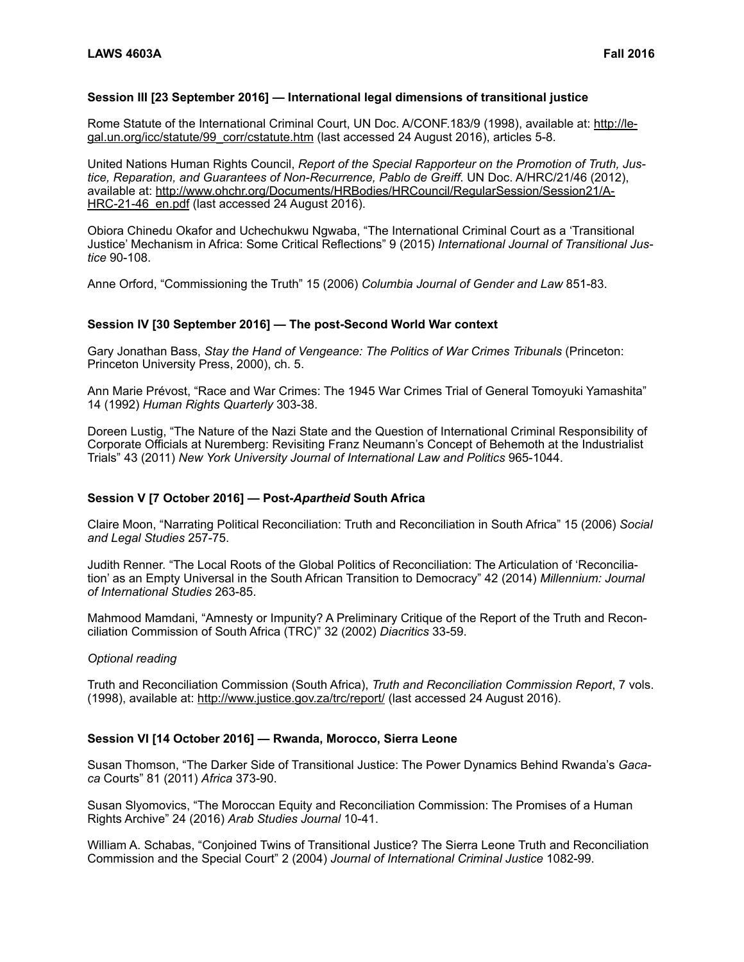## **Session III [23 September 2016] — International legal dimensions of transitional justice**

[Rome Statute of the International Criminal Court, UN Doc. A/CONF.183/9 \(1998\), available at: http://le](http://legal.un.org/icc/statute/99_corr/cstatute.htm)gal.un.org/icc/statute/99\_corr/cstatute.htm (last accessed 24 August 2016), articles 5-8.

United Nations Human Rights Council, *Report of the Special Rapporteur on the Promotion of Truth, Justice, Reparation, and Guarantees of Non-Recurrence, Pablo de Greiff*. UN Doc. A/HRC/21/46 (2012), [available at: http://www.ohchr.org/Documents/HRBodies/HRCouncil/RegularSession/Session21/A-](http://www.ohchr.org/Documents/HRBodies/HRCouncil/RegularSession/Session21/A-HRC-21-46_en.pdf)HRC-21-46 en.pdf (last accessed 24 August 2016).

Obiora Chinedu Okafor and Uchechukwu Ngwaba, "The International Criminal Court as a 'Transitional Justice' Mechanism in Africa: Some Critical Reflections" 9 (2015) *International Journal of Transitional Justice* 90-108.

Anne Orford, "Commissioning the Truth" 15 (2006) *Columbia Journal of Gender and Law* 851-83.

#### **Session IV [30 September 2016] — The post-Second World War context**

Gary Jonathan Bass, *Stay the Hand of Vengeance: The Politics of War Crimes Tribunals* (Princeton: Princeton University Press, 2000), ch. 5.

Ann Marie Prévost, "Race and War Crimes: The 1945 War Crimes Trial of General Tomoyuki Yamashita" 14 (1992) *Human Rights Quarterly* 303-38.

Doreen Lustig, "The Nature of the Nazi State and the Question of International Criminal Responsibility of Corporate Officials at Nuremberg: Revisiting Franz Neumann's Concept of Behemoth at the Industrialist Trials" 43 (2011) *New York University Journal of International Law and Politics* 965-1044.

#### **Session V [7 October 2016] — Post-***Apartheid* **South Africa**

Claire Moon, "Narrating Political Reconciliation: Truth and Reconciliation in South Africa" 15 (2006) *Social and Legal Studies* 257-75.

Judith Renner. "The Local Roots of the Global Politics of Reconciliation: The Articulation of 'Reconciliation' as an Empty Universal in the South African Transition to Democracy" 42 (2014) *Millennium: Journal of International Studies* 263-85.

Mahmood Mamdani, "Amnesty or Impunity? A Preliminary Critique of the Report of the Truth and Reconciliation Commission of South Africa (TRC)" 32 (2002) *Diacritics* 33-59.

# *Optional reading*

Truth and Reconciliation Commission (South Africa), *Truth and Reconciliation Commission Report*, 7 vols. (1998), available at: <http://www.justice.gov.za/trc/report/>(last accessed 24 August 2016).

### **Session VI [14 October 2016] — Rwanda, Morocco, Sierra Leone**

Susan Thomson, "The Darker Side of Transitional Justice: The Power Dynamics Behind Rwanda's *Gacaca* Courts" 81 (2011) *Africa* 373-90.

Susan Slyomovics, "The Moroccan Equity and Reconciliation Commission: The Promises of a Human Rights Archive" 24 (2016) *Arab Studies Journal* 10-41.

William A. Schabas, "Conjoined Twins of Transitional Justice? The Sierra Leone Truth and Reconciliation Commission and the Special Court" 2 (2004) *Journal of International Criminal Justice* 1082-99.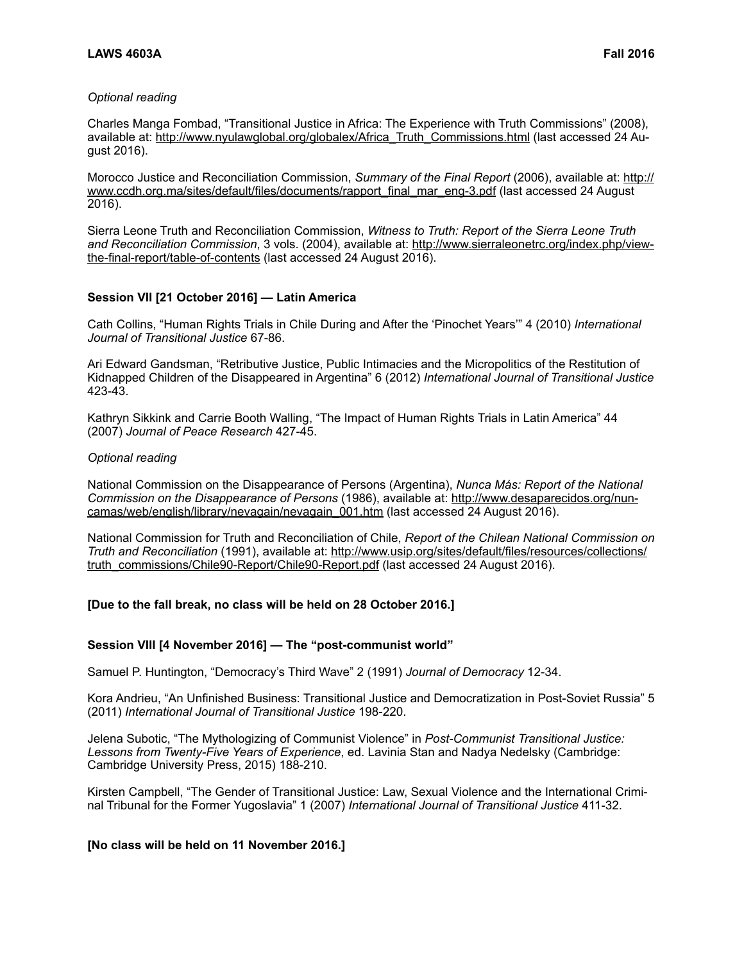# *Optional reading*

Charles Manga Fombad, "Transitional Justice in Africa: The Experience with Truth Commissions" (2008), available at: [http://www.nyulawglobal.org/globalex/Africa\\_Truth\\_Commissions.html](http://www.nyulawglobal.org/globalex/Africa_Truth_Commissions.html) (last accessed 24 August 2016).

Morocco Justice and Reconciliation Commission, *Summary of the Final Report* (2006), available at: http:// www.ccdh.org.ma/sites/default/files/documents/rapport\_final\_mar\_eng-3.pdf (last accessed 24 August 2016).

Sierra Leone Truth and Reconciliation Commission, *Witness to Truth: Report of the Sierra Leone Truth and Reconciliation Commission*[, 3 vols. \(2004\), available at: http://www.sierraleonetrc.org/index.php/view](http://www.sierraleonetrc.org/index.php/view-the-final-report/table-of-contents)the-final-report/table-of-contents (last accessed 24 August 2016).

# **Session VII [21 October 2016] — Latin America**

Cath Collins, "Human Rights Trials in Chile During and After the 'Pinochet Years'" 4 (2010) *International Journal of Transitional Justice* 67-86.

Ari Edward Gandsman, "Retributive Justice, Public Intimacies and the Micropolitics of the Restitution of Kidnapped Children of the Disappeared in Argentina" 6 (2012) *International Journal of Transitional Justice*  423-43.

Kathryn Sikkink and Carrie Booth Walling, "The Impact of Human Rights Trials in Latin America" 44 (2007) *Journal of Peace Research* 427-45.

#### *Optional reading*

National Commission on the Disappearance of Persons (Argentina), *Nunca Más: Report of the National Commission on the Disappearance of Persons* (1986), available at: http://www.desaparecidos.org/nun[camas/web/english/library/nevagain/nevagain\\_001.htm \(last accessed 24 August 2016\).](http://www.desaparecidos.org/nuncamas/web/english/library/nevagain/nevagain_001.htm)

National Commission for Truth and Reconciliation of Chile, *Report of the Chilean National Commission on Truth and Reconciliation* (1991), available at: http://www.usip.org/sites/default/files/resources/collections/ [truth\\_commissions/Chile90-Report/Chile90-Report.pdf \(last accessed 24 August 2016\).](http://www.usip.org/sites/default/files/resources/collections/truth_commissions/Chile90-Report/Chile90-Report.pdf)

# **[Due to the fall break, no class will be held on 28 October 2016.]**

#### **Session VIII [4 November 2016] — The "post-communist world"**

Samuel P. Huntington, "Democracy's Third Wave" 2 (1991) *Journal of Democracy* 12-34.

Kora Andrieu, "An Unfinished Business: Transitional Justice and Democratization in Post-Soviet Russia" 5 (2011) *International Journal of Transitional Justice* 198-220.

Jelena Subotic, "The Mythologizing of Communist Violence" in *Post-Communist Transitional Justice: Lessons from Twenty-Five Years of Experience*, ed. Lavinia Stan and Nadya Nedelsky (Cambridge: Cambridge University Press, 2015) 188-210.

Kirsten Campbell, "The Gender of Transitional Justice: Law, Sexual Violence and the International Criminal Tribunal for the Former Yugoslavia" 1 (2007) *International Journal of Transitional Justice* 411-32.

#### **[No class will be held on 11 November 2016.]**